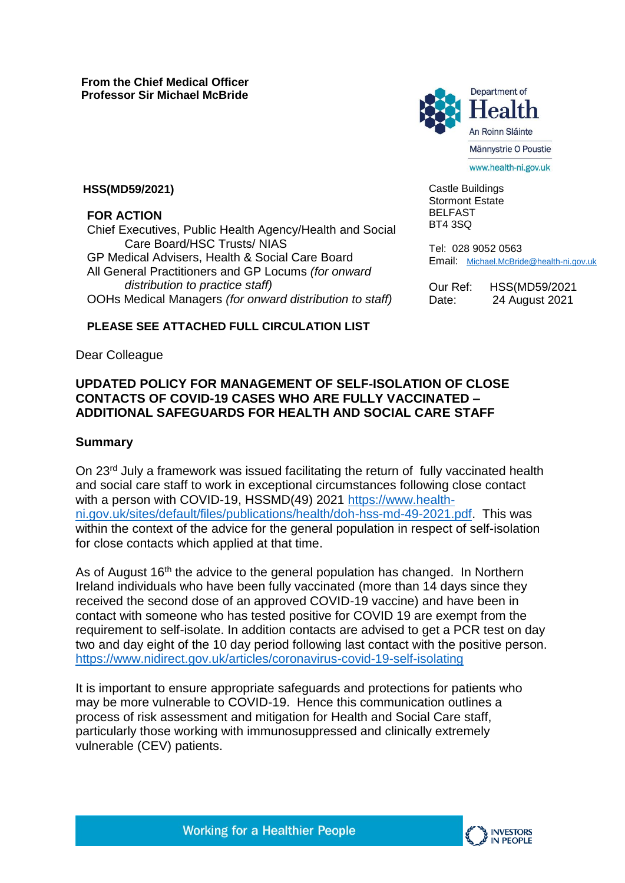

www.health-ni.gov.uk

Castle Buildings Stormont Estate BELFAST BT4 3SQ

Tel: 028 9052 0563 Email: [Michael.McBride@health-ni.gov.uk](mailto:Michael.McBride@health-ni.gov.uk)

Our Ref: HSS(MD59/2021 Date: 24 August 2021

### **HSS(MD59/2021)**

**FOR ACTION** 

Chief Executives, Public Health Agency/Health and Social Care Board/HSC Trusts/ NIAS GP Medical Advisers, Health & Social Care Board All General Practitioners and GP Locums *(for onward distribution to practice staff)*  OOHs Medical Managers *(for onward distribution to staff)*

### **PLEASE SEE ATTACHED FULL CIRCULATION LIST**

Dear Colleague

## **UPDATED POLICY FOR MANAGEMENT OF SELF-ISOLATION OF CLOSE CONTACTS OF COVID-19 CASES WHO ARE FULLY VACCINATED – ADDITIONAL SAFEGUARDS FOR HEALTH AND SOCIAL CARE STAFF**

### **Summary**

On 23<sup>rd</sup> July a framework was issued facilitating the return of fully vaccinated health and social care staff to work in exceptional circumstances following close contact with a person with COVID-19, HSSMD(49) 2021 [https://www.health](https://www.health-ni.gov.uk/sites/default/files/publications/health/doh-hss-md-49-2021.pdf)[ni.gov.uk/sites/default/files/publications/health/doh-hss-md-49-2021.pdf.](https://www.health-ni.gov.uk/sites/default/files/publications/health/doh-hss-md-49-2021.pdf) This was within the context of the advice for the general population in respect of self-isolation for close contacts which applied at that time.

As of August 16<sup>th</sup> the advice to the general population has changed. In Northern Ireland individuals who have been fully vaccinated (more than 14 days since they received the second dose of an approved COVID-19 vaccine) and have been in contact with someone who has tested positive for COVID 19 are exempt from the requirement to self-isolate. In addition contacts are advised to get a PCR test on day two and day eight of the 10 day period following last contact with the positive person. <https://www.nidirect.gov.uk/articles/coronavirus-covid-19-self-isolating>

It is important to ensure appropriate safeguards and protections for patients who may be more vulnerable to COVID-19. Hence this communication outlines a process of risk assessment and mitigation for Health and Social Care staff, particularly those working with immunosuppressed and clinically extremely vulnerable (CEV) patients.

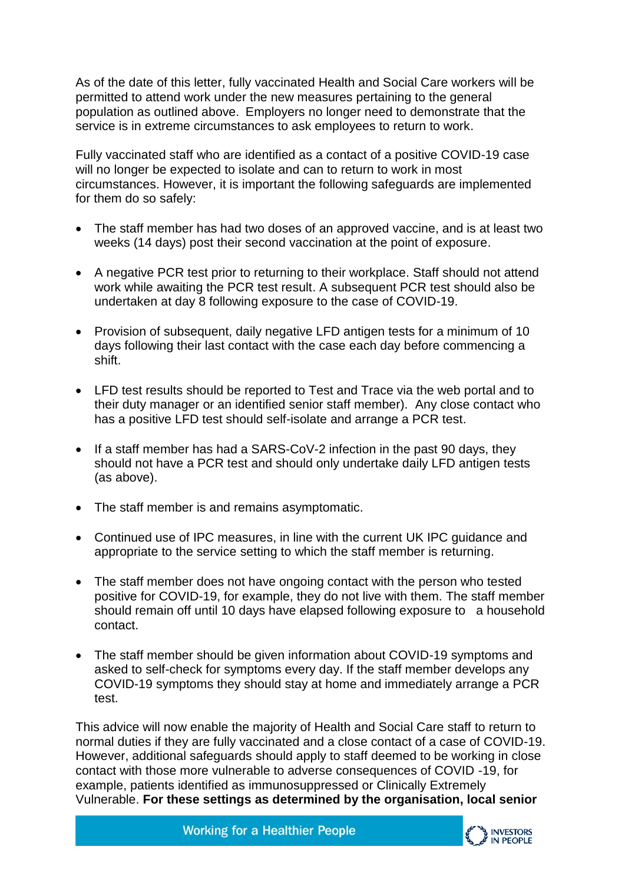As of the date of this letter, fully vaccinated Health and Social Care workers will be permitted to attend work under the new measures pertaining to the general population as outlined above. Employers no longer need to demonstrate that the service is in extreme circumstances to ask employees to return to work.

Fully vaccinated staff who are identified as a contact of a positive COVID-19 case will no longer be expected to isolate and can to return to work in most circumstances. However, it is important the following safeguards are implemented for them do so safely:

- The staff member has had two doses of an approved vaccine, and is at least two weeks (14 days) post their second vaccination at the point of exposure.
- A negative PCR test prior to returning to their workplace. Staff should not attend work while awaiting the PCR test result. A subsequent PCR test should also be undertaken at day 8 following exposure to the case of COVID-19.
- Provision of subsequent, daily negative LFD antigen tests for a minimum of 10 days following their last contact with the case each day before commencing a shift.
- LFD test results should be reported to Test and Trace via the web portal and to their duty manager or an identified senior staff member). Any close contact who has a positive LFD test should self-isolate and arrange a PCR test.
- If a staff member has had a SARS-CoV-2 infection in the past 90 days, they should not have a PCR test and should only undertake daily LFD antigen tests (as above).
- The staff member is and remains asymptomatic.
- Continued use of IPC measures, in line with the current UK IPC guidance and appropriate to the service setting to which the staff member is returning.
- The staff member does not have ongoing contact with the person who tested positive for COVID-19, for example, they do not live with them. The staff member should remain off until 10 days have elapsed following exposure to a household contact.
- The staff member should be given information about COVID-19 symptoms and asked to self-check for symptoms every day. If the staff member develops any COVID-19 symptoms they should stay at home and immediately arrange a PCR test.

This advice will now enable the majority of Health and Social Care staff to return to normal duties if they are fully vaccinated and a close contact of a case of COVID-19. However, additional safeguards should apply to staff deemed to be working in close contact with those more vulnerable to adverse consequences of COVID -19, for example, patients identified as immunosuppressed or Clinically Extremely Vulnerable. **For these settings as determined by the organisation, local senior** 

**Working for a Healthier People** 

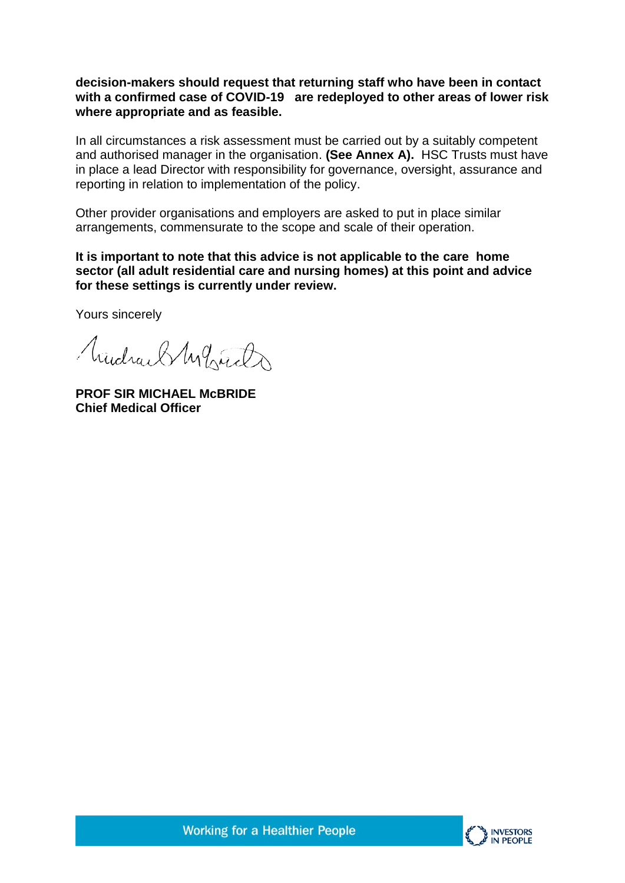**decision-makers should request that returning staff who have been in contact with a confirmed case of COVID-19 are redeployed to other areas of lower risk where appropriate and as feasible.**

In all circumstances a risk assessment must be carried out by a suitably competent and authorised manager in the organisation. **(See Annex A).** HSC Trusts must have in place a lead Director with responsibility for governance, oversight, assurance and reporting in relation to implementation of the policy.

Other provider organisations and employers are asked to put in place similar arrangements, commensurate to the scope and scale of their operation.

**It is important to note that this advice is not applicable to the care home sector (all adult residential care and nursing homes) at this point and advice for these settings is currently under review.**

Yours sincerely

Mudrael Myrich

**PROF SIR MICHAEL McBRIDE Chief Medical Officer**



**Working for a Healthier People**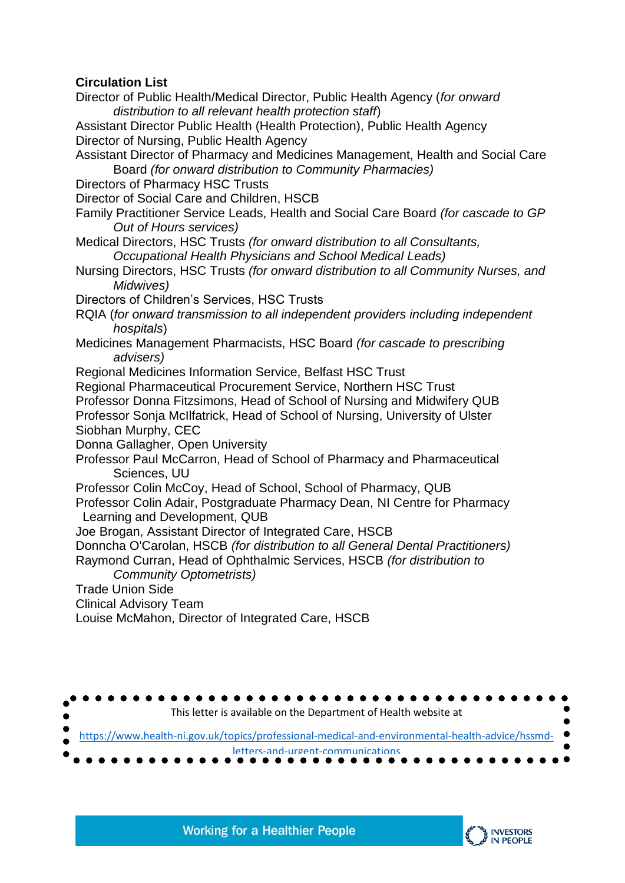# **Circulation List**

Director of Public Health/Medical Director, Public Health Agency (*for onward distribution to all relevant health protection staff*) Assistant Director Public Health (Health Protection), Public Health Agency Director of Nursing, Public Health Agency Assistant Director of Pharmacy and Medicines Management, Health and Social Care Board *(for onward distribution to Community Pharmacies)*  Directors of Pharmacy HSC Trusts Director of Social Care and Children, HSCB Family Practitioner Service Leads, Health and Social Care Board *(for cascade to GP Out of Hours services)*  Medical Directors, HSC Trusts *(for onward distribution to all Consultants, Occupational Health Physicians and School Medical Leads)*  Nursing Directors, HSC Trusts *(for onward distribution to all Community Nurses, and Midwives)*  Directors of Children's Services, HSC Trusts RQIA (*for onward transmission to all independent providers including independent hospitals*) Medicines Management Pharmacists, HSC Board *(for cascade to prescribing advisers)*  Regional Medicines Information Service, Belfast HSC Trust Regional Pharmaceutical Procurement Service, Northern HSC Trust Professor Donna Fitzsimons, Head of School of Nursing and Midwifery QUB Professor Sonja McIlfatrick, Head of School of Nursing, University of Ulster Siobhan Murphy, CEC Donna Gallagher, Open University Professor Paul McCarron, Head of School of Pharmacy and Pharmaceutical Sciences, UU Professor Colin McCoy, Head of School, School of Pharmacy, QUB Professor Colin Adair, Postgraduate Pharmacy Dean, NI Centre for Pharmacy Learning and Development, QUB Joe Brogan, Assistant Director of Integrated Care, HSCB Donncha O'Carolan, HSCB *(for distribution to all General Dental Practitioners)* Raymond Curran, Head of Ophthalmic Services, HSCB *(for distribution to Community Optometrists)*  Trade Union Side Clinical Advisory Team Louise McMahon, Director of Integrated Care, HSCB



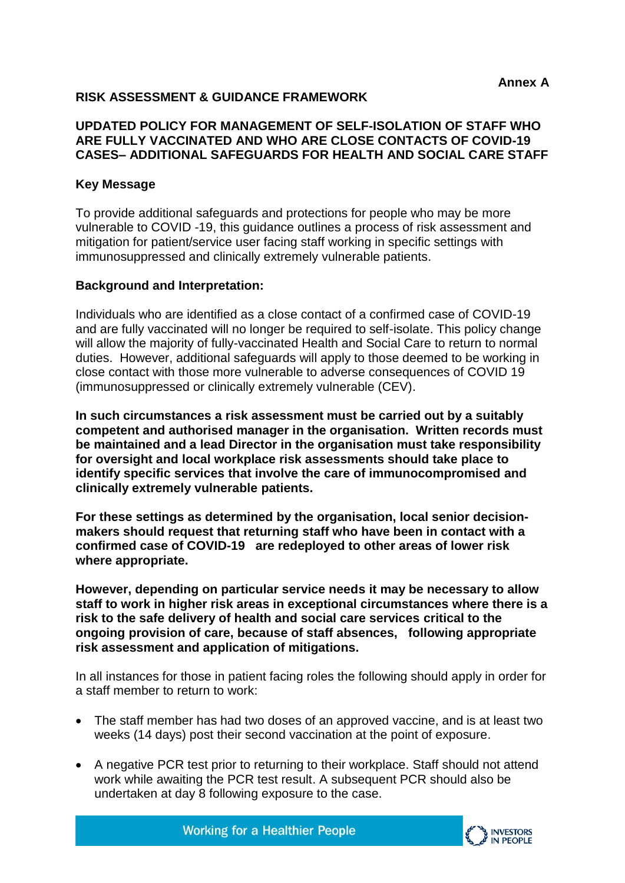## **RISK ASSESSMENT & GUIDANCE FRAMEWORK**

### **UPDATED POLICY FOR MANAGEMENT OF SELF-ISOLATION OF STAFF WHO ARE FULLY VACCINATED AND WHO ARE CLOSE CONTACTS OF COVID-19 CASES– ADDITIONAL SAFEGUARDS FOR HEALTH AND SOCIAL CARE STAFF**

### **Key Message**

To provide additional safeguards and protections for people who may be more vulnerable to COVID -19, this guidance outlines a process of risk assessment and mitigation for patient/service user facing staff working in specific settings with immunosuppressed and clinically extremely vulnerable patients.

### **Background and Interpretation:**

Individuals who are identified as a close contact of a confirmed case of COVID-19 and are fully vaccinated will no longer be required to self-isolate. This policy change will allow the majority of fully-vaccinated Health and Social Care to return to normal duties. However, additional safeguards will apply to those deemed to be working in close contact with those more vulnerable to adverse consequences of COVID 19 (immunosuppressed or clinically extremely vulnerable (CEV).

**In such circumstances a risk assessment must be carried out by a suitably competent and authorised manager in the organisation. Written records must be maintained and a lead Director in the organisation must take responsibility for oversight and local workplace risk assessments should take place to identify specific services that involve the care of immunocompromised and clinically extremely vulnerable patients.** 

**For these settings as determined by the organisation, local senior decisionmakers should request that returning staff who have been in contact with a confirmed case of COVID-19 are redeployed to other areas of lower risk where appropriate.**

**However, depending on particular service needs it may be necessary to allow staff to work in higher risk areas in exceptional circumstances where there is a risk to the safe delivery of health and social care services critical to the ongoing provision of care, because of staff absences, following appropriate risk assessment and application of mitigations.**

In all instances for those in patient facing roles the following should apply in order for a staff member to return to work:

- The staff member has had two doses of an approved vaccine, and is at least two weeks (14 days) post their second vaccination at the point of exposure.
- A negative PCR test prior to returning to their workplace. Staff should not attend work while awaiting the PCR test result. A subsequent PCR should also be undertaken at day 8 following exposure to the case.



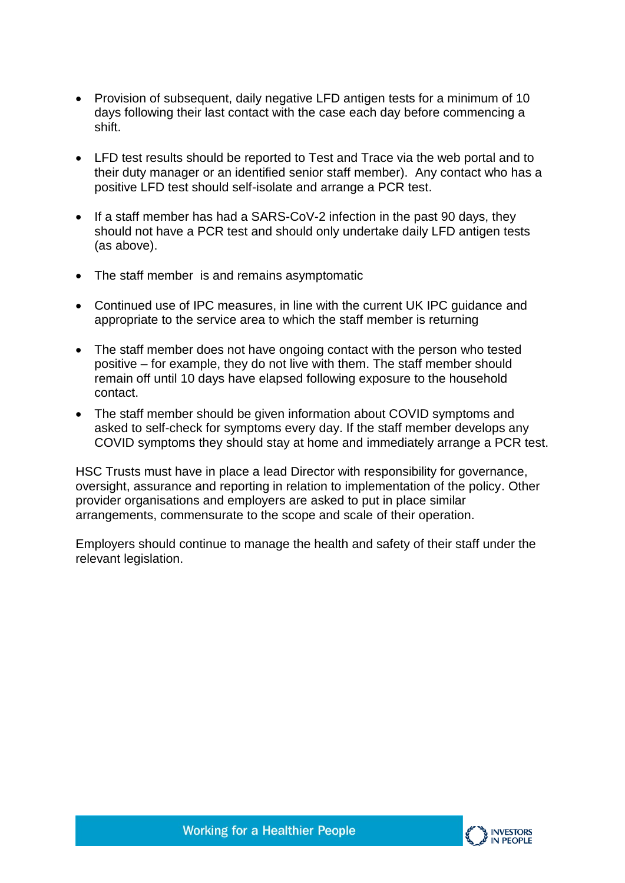- Provision of subsequent, daily negative LFD antigen tests for a minimum of 10 days following their last contact with the case each day before commencing a shift.
- LFD test results should be reported to Test and Trace via the web portal and to their duty manager or an identified senior staff member). Any contact who has a positive LFD test should self-isolate and arrange a PCR test.
- If a staff member has had a SARS-CoV-2 infection in the past 90 days, they should not have a PCR test and should only undertake daily LFD antigen tests (as above).
- The staff member is and remains asymptomatic
- Continued use of IPC measures, in line with the current UK IPC guidance and appropriate to the service area to which the staff member is returning
- The staff member does not have ongoing contact with the person who tested positive – for example, they do not live with them. The staff member should remain off until 10 days have elapsed following exposure to the household contact.
- The staff member should be given information about COVID symptoms and asked to self-check for symptoms every day. If the staff member develops any COVID symptoms they should stay at home and immediately arrange a PCR test.

HSC Trusts must have in place a lead Director with responsibility for governance, oversight, assurance and reporting in relation to implementation of the policy. Other provider organisations and employers are asked to put in place similar arrangements, commensurate to the scope and scale of their operation.

Employers should continue to manage the health and safety of their staff under the relevant legislation.